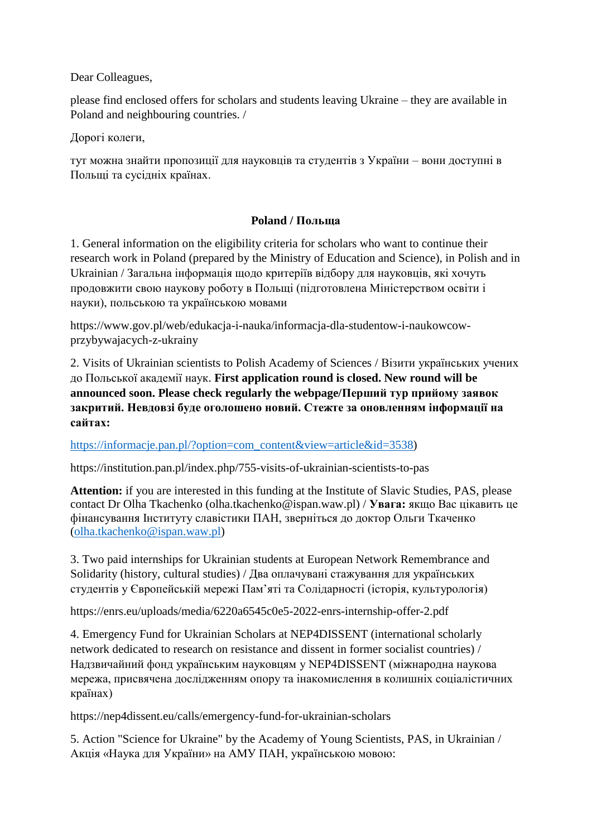Dear Colleagues,

please find enclosed offers for scholars and students leaving Ukraine – they are available in Poland and neighbouring countries. /

Дорогі колеги,

тут можна знайти пропозиції для науковців та студентів з України – вони доступні в Польщі та сусідніх країнах.

## **Poland / Польща**

1. General information on the eligibility criteria for scholars who want to continue their research work in Poland (prepared by the Ministry of Education and Science), in Polish and in Ukrainian / Загальна інформація щодо критеріїв відбору для науковців, які хочуть продовжити свою наукову роботу в Польщі (підготовлена Міністерством освіти і науки), польською та українською мовами

https://www.gov.pl/web/edukacja-i-nauka/informacja-dla-studentow-i-naukowcowprzybywajacych-z-ukrainy

2. Visits of Ukrainian scientists to Polish Academy of Sciences / Візити українських учених до Польської академії наук. **First application round is closed. New round will be announced soon. Please check regularly the webpage/Перший тур прийому заявок закритий. Невдовзі буде оголошено новий. Стежте за оновленням інформації на сайтах:**

[https://informacje.pan.pl/?option=com\\_content&view=article&id=3538\)](https://informacje.pan.pl/?option=com_content&view=article&id=3538)

https://institution.pan.pl/index.php/755-visits-of-ukrainian-scientists-to-pas

**Attention:** if you are interested in this funding at the Institute of Slavic Studies, PAS, please contact Dr Olha Tkachenko (olha.tkachenko@ispan.waw.pl) / **Увага:** якщо Вас цікавить це фінансування Інституту славістики ПАН, зверніться до доктор Ольги Ткаченко [\(olha.tkachenko@ispan.waw.pl\)](mailto:olha.tkachenko@ispan.waw.pl)

3. Two paid internships for Ukrainian students at European Network Remembrance and Solidarity (history, cultural studies) / Два оплачувані стажування для українських студентів у Європейській мережі Пам'яті та Солідарності (історія, культурологія)

https://enrs.eu/uploads/media/6220a6545c0e5-2022-enrs-internship-offer-2.pdf

4. Emergency Fund for Ukrainian Scholars at NEP4DISSENT (international scholarly network dedicated to research on resistance and dissent in former socialist countries) / Надзвичайний фонд українським науковцям у NEP4DISSENT (міжнародна наукова мережа, присвячена дослідженням опору та інакомислення в колишніх соціалістичних країнах)

https://nep4dissent.eu/calls/emergency-fund-for-ukrainian-scholars

5. Action "Science for Ukraine" by the Academy of Young Scientists, PAS, in Ukrainian / Акція «Наука для України» на АМУ ПАН, українською мовою: